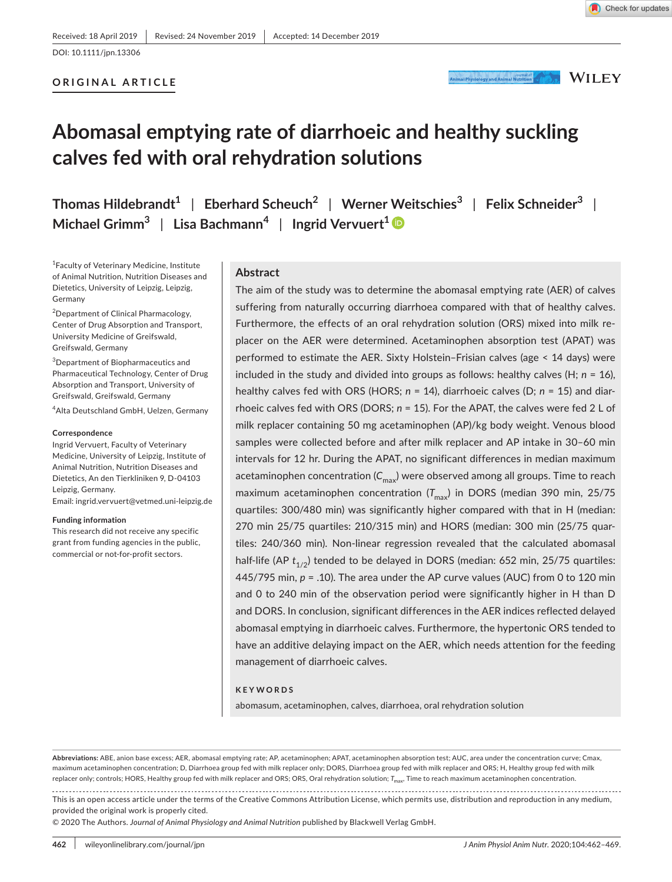# **ORIGINAL ARTICLE**

Animal Physiology and Animal Nutrition of New Your MILEY

# **Abomasal emptying rate of diarrhoeic and healthy suckling calves fed with oral rehydration solutions**

**Thomas Hildebrandt1** | **Eberhard Scheuch2** | **Werner Weitschies<sup>3</sup>** | **Felix Schneider<sup>3</sup>** | **Michael Grimm3** | **Lisa Bachmann<sup>4</sup>** | **Ingrid Vervuert[1](https://orcid.org/0000-0001-7151-0751)**

1 Faculty of Veterinary Medicine, Institute of Animal Nutrition, Nutrition Diseases and Dietetics, University of Leipzig, Leipzig, Germany

<sup>2</sup>Department of Clinical Pharmacology, Center of Drug Absorption and Transport, University Medicine of Greifswald, Greifswald, Germany

3 Department of Biopharmaceutics and Pharmaceutical Technology, Center of Drug Absorption and Transport, University of Greifswald, Greifswald, Germany

4 Alta Deutschland GmbH, Uelzen, Germany

#### **Correspondence**

Ingrid Vervuert, Faculty of Veterinary Medicine, University of Leipzig, Institute of Animal Nutrition, Nutrition Diseases and Dietetics, An den Tierkliniken 9, D-04103 Leipzig, Germany.

Email: [ingrid.vervuert@vetmed.uni-leipzig.de](mailto:ingrid.vervuert@vetmed.uni-leipzig.de)

#### **Funding information**

This research did not receive any specific grant from funding agencies in the public, commercial or not-for-profit sectors.

#### **Abstract**

The aim of the study was to determine the abomasal emptying rate (AER) of calves suffering from naturally occurring diarrhoea compared with that of healthy calves. Furthermore, the effects of an oral rehydration solution (ORS) mixed into milk replacer on the AER were determined. Acetaminophen absorption test (APAT) was performed to estimate the AER. Sixty Holstein–Frisian calves (age < 14 days) were included in the study and divided into groups as follows: healthy calves (H; *n* = 16), healthy calves fed with ORS (HORS; *n* = 14), diarrhoeic calves (D; *n* = 15) and diarrhoeic calves fed with ORS (DORS; *n* = 15). For the APAT, the calves were fed 2 L of milk replacer containing 50 mg acetaminophen (AP)/kg body weight. Venous blood samples were collected before and after milk replacer and AP intake in 30–60 min intervals for 12 hr. During the APAT, no significant differences in median maximum acetaminophen concentration  $(C_{\text{max}})$  were observed among all groups. Time to reach maximum acetaminophen concentration (T<sub>max</sub>) in DORS (median 390 min, 25/75 quartiles: 300/480 min) was significantly higher compared with that in H (median: 270 min 25/75 quartiles: 210/315 min) and HORS (median: 300 min (25/75 quartiles: 240/360 min). Non-linear regression revealed that the calculated abomasal half-life (AP *t<sub>1/2</sub>)* tended to be delayed in DORS (median: 652 min, 25/75 quartiles: 445/795 min, *p* = .10). The area under the AP curve values (AUC) from 0 to 120 min and 0 to 240 min of the observation period were significantly higher in H than D and DORS. In conclusion, significant differences in the AER indices reflected delayed abomasal emptying in diarrhoeic calves. Furthermore, the hypertonic ORS tended to have an additive delaying impact on the AER, which needs attention for the feeding management of diarrhoeic calves.

#### **KEYWORDS**

abomasum, acetaminophen, calves, diarrhoea, oral rehydration solution

This is an open access article under the terms of the [Creative Commons Attribution](http://creativecommons.org/licenses/by/4.0/) License, which permits use, distribution and reproduction in any medium, provided the original work is properly cited.

© 2020 The Authors. *Journal of Animal Physiology and Animal Nutrition* published by Blackwell Verlag GmbH.

**Abbreviations:** ABE, anion base excess; AER, abomasal emptying rate; AP, acetaminophen; APAT, acetaminophen absorption test; AUC, area under the concentration curve; Cmax, maximum acetaminophen concentration; D, Diarrhoea group fed with milk replacer only; DORS, Diarrhoea group fed with milk replacer and ORS; H, Healthy group fed with milk replacer only; controls; HORS, Healthy group fed with milk replacer and ORS; ORS, Oral rehydration solution; T<sub>max</sub>, Time to reach maximum acetaminophen concentration.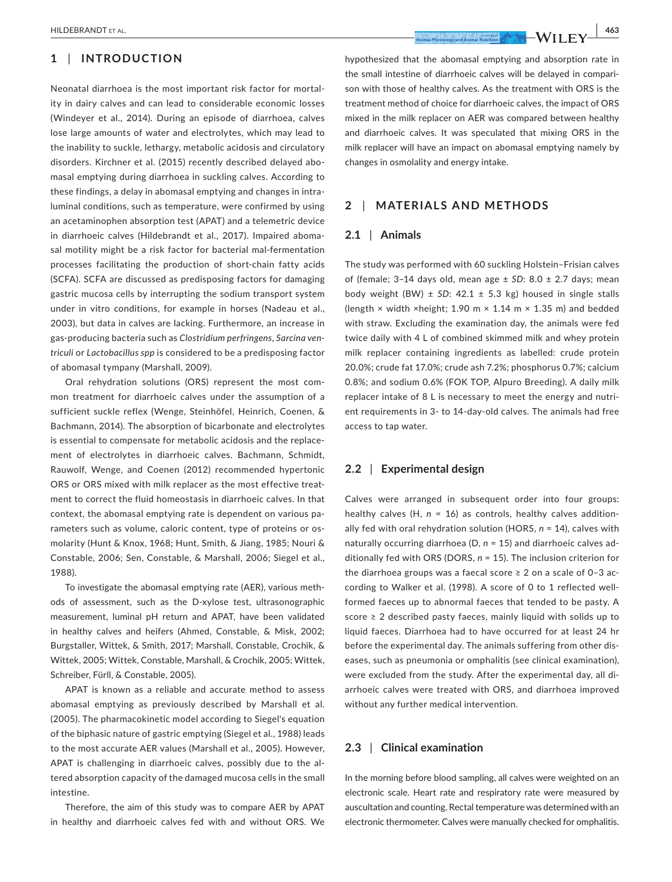# **1** | **INTRODUCTION**

Neonatal diarrhoea is the most important risk factor for mortality in dairy calves and can lead to considerable economic losses (Windeyer et al., 2014). During an episode of diarrhoea, calves lose large amounts of water and electrolytes, which may lead to the inability to suckle, lethargy, metabolic acidosis and circulatory disorders. Kirchner et al. (2015) recently described delayed abomasal emptying during diarrhoea in suckling calves. According to these findings, a delay in abomasal emptying and changes in intraluminal conditions, such as temperature, were confirmed by using an acetaminophen absorption test (APAT) and a telemetric device in diarrhoeic calves (Hildebrandt et al., 2017). Impaired abomasal motility might be a risk factor for bacterial mal-fermentation processes facilitating the production of short-chain fatty acids (SCFA). SCFA are discussed as predisposing factors for damaging gastric mucosa cells by interrupting the sodium transport system under in vitro conditions, for example in horses (Nadeau et al., 2003), but data in calves are lacking. Furthermore, an increase in gas-producing bacteria such as *Clostridium perfringens*, *Sarcina ventriculi* or *Lactobacillus spp* is considered to be a predisposing factor of abomasal tympany (Marshall, 2009).

Oral rehydration solutions (ORS) represent the most common treatment for diarrhoeic calves under the assumption of a sufficient suckle reflex (Wenge, Steinhöfel, Heinrich, Coenen, & Bachmann, 2014). The absorption of bicarbonate and electrolytes is essential to compensate for metabolic acidosis and the replacement of electrolytes in diarrhoeic calves. Bachmann, Schmidt, Rauwolf, Wenge, and Coenen (2012) recommended hypertonic ORS or ORS mixed with milk replacer as the most effective treatment to correct the fluid homeostasis in diarrhoeic calves. In that context, the abomasal emptying rate is dependent on various parameters such as volume, caloric content, type of proteins or osmolarity (Hunt & Knox, 1968; Hunt, Smith, & Jiang, 1985; Nouri & Constable, 2006; Sen, Constable, & Marshall, 2006; Siegel et al., 1988).

To investigate the abomasal emptying rate (AER), various methods of assessment, such as the D-xylose test, ultrasonographic measurement, luminal pH return and APAT, have been validated in healthy calves and heifers (Ahmed, Constable, & Misk, 2002; Burgstaller, Wittek, & Smith, 2017; Marshall, Constable, Crochik, & Wittek, 2005; Wittek, Constable, Marshall, & Crochik, 2005; Wittek, Schreiber, Fürll, & Constable, 2005).

APAT is known as a reliable and accurate method to assess abomasal emptying as previously described by Marshall et al. (2005). The pharmacokinetic model according to Siegel's equation of the biphasic nature of gastric emptying (Siegel et al., 1988) leads to the most accurate AER values (Marshall et al., 2005). However, APAT is challenging in diarrhoeic calves, possibly due to the altered absorption capacity of the damaged mucosa cells in the small intestine.

Therefore, the aim of this study was to compare AER by APAT in healthy and diarrhoeic calves fed with and without ORS. We hypothesized that the abomasal emptying and absorption rate in

the small intestine of diarrhoeic calves will be delayed in comparison with those of healthy calves. As the treatment with ORS is the treatment method of choice for diarrhoeic calves, the impact of ORS mixed in the milk replacer on AER was compared between healthy and diarrhoeic calves. It was speculated that mixing ORS in the milk replacer will have an impact on abomasal emptying namely by changes in osmolality and energy intake.

# **2** | **MATERIALS AND METHODS**

#### **2.1** | **Animals**

The study was performed with 60 suckling Holstein–Frisian calves of (female; 3–14 days old, mean age ± *SD*: 8.0 ± 2.7 days; mean body weight (BW)  $\pm$  SD: 42.1  $\pm$  5.3 kg) housed in single stalls (length  $\times$  width  $\times$ height; 1.90 m  $\times$  1.14 m  $\times$  1.35 m) and bedded with straw. Excluding the examination day, the animals were fed twice daily with 4 L of combined skimmed milk and whey protein milk replacer containing ingredients as labelled: crude protein 20.0%; crude fat 17.0%; crude ash 7.2%; phosphorus 0.7%; calcium 0.8%; and sodium 0.6% (FOK TOP, Alpuro Breeding). A daily milk replacer intake of 8 L is necessary to meet the energy and nutrient requirements in 3- to 14-day-old calves. The animals had free access to tap water.

# **2.2** | **Experimental design**

Calves were arranged in subsequent order into four groups: healthy calves (H, *n* = 16) as controls, healthy calves additionally fed with oral rehydration solution (HORS, *n* = 14), calves with naturally occurring diarrhoea (D, *n* = 15) and diarrhoeic calves additionally fed with ORS (DORS, *n* = 15). The inclusion criterion for the diarrhoea groups was a faecal score  $\geq 2$  on a scale of 0-3 according to Walker et al. (1998). A score of 0 to 1 reflected wellformed faeces up to abnormal faeces that tended to be pasty. A score ≥ 2 described pasty faeces, mainly liquid with solids up to liquid faeces. Diarrhoea had to have occurred for at least 24 hr before the experimental day. The animals suffering from other diseases, such as pneumonia or omphalitis (see clinical examination), were excluded from the study. After the experimental day, all diarrhoeic calves were treated with ORS, and diarrhoea improved without any further medical intervention.

# **2.3** | **Clinical examination**

In the morning before blood sampling, all calves were weighted on an electronic scale. Heart rate and respiratory rate were measured by auscultation and counting. Rectal temperature was determined with an electronic thermometer. Calves were manually checked for omphalitis.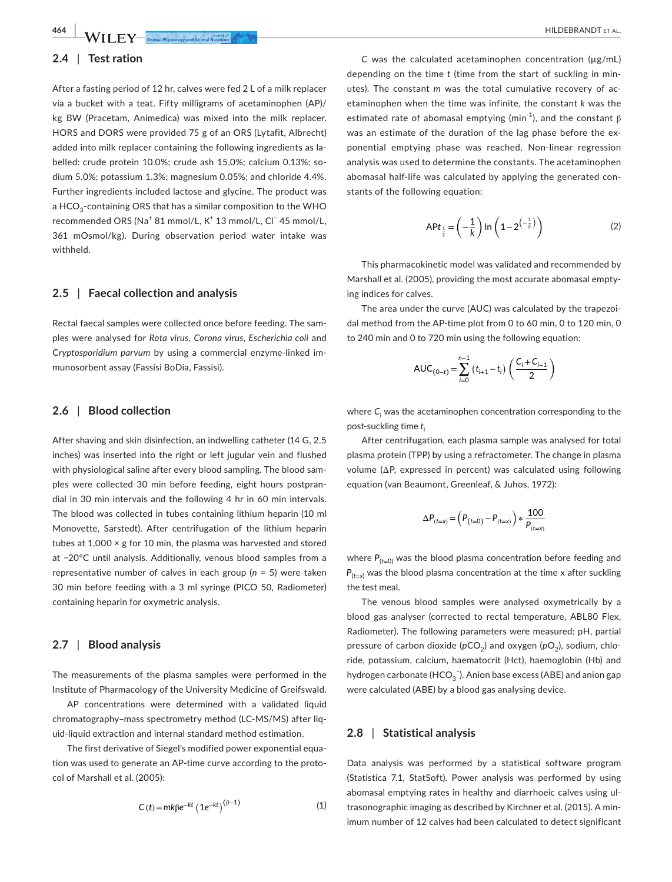**464 |**  HILDEBRANDT et al.

# **2.4** | **Test ration**

After a fasting period of 12 hr, calves were fed 2 L of a milk replacer via a bucket with a teat. Fifty milligrams of acetaminophen (AP)/ kg BW (Pracetam, Animedica) was mixed into the milk replacer. HORS and DORS were provided 75 g of an ORS (Lytafit, Albrecht) added into milk replacer containing the following ingredients as labelled: crude protein 10.0%; crude ash 15.0%; calcium 0.13%; sodium 5.0%; potassium 1.3%; magnesium 0.05%; and chloride 4.4%. Further ingredients included lactose and glycine. The product was a HCO<sub>2</sub>-containing ORS that has a similar composition to the WHO recommended ORS (Na<sup>+</sup> 81 mmol/L, K<sup>+</sup> 13 mmol/L, Cl<sup>−</sup> 45 mmol/L, 361 mOsmol/kg). During observation period water intake was withheld.

## **2.5** | **Faecal collection and analysis**

Rectal faecal samples were collected once before feeding. The samples were analysed for *Rota virus*, *Corona virus*, *Escherichia coli* and C*ryptosporidium parvum* by using a commercial enzyme-linked immunosorbent assay (Fassisi BoDia, Fassisi).

## **2.6** | **Blood collection**

After shaving and skin disinfection, an indwelling catheter (14 G, 2.5 inches) was inserted into the right or left jugular vein and flushed with physiological saline after every blood sampling. The blood samples were collected 30 min before feeding, eight hours postprandial in 30 min intervals and the following 4 hr in 60 min intervals. The blood was collected in tubes containing lithium heparin (10 ml Monovette, Sarstedt). After centrifugation of the lithium heparin tubes at 1,000 × g for 10 min, the plasma was harvested and stored at −20°C until analysis. Additionally, venous blood samples from a representative number of calves in each group (*n* = 5) were taken 30 min before feeding with a 3 ml syringe (PICO 50, Radiometer) containing heparin for oxymetric analysis.

# **2.7** | **Blood analysis**

The measurements of the plasma samples were performed in the Institute of Pharmacology of the University Medicine of Greifswald.

AP concentrations were determined with a validated liquid chromatography–mass spectrometry method (LC-MS/MS) after liquid-liquid extraction and internal standard method estimation.

The first derivative of Siegel's modified power exponential equation was used to generate an AP-time curve according to the protocol of Marshall et al. (2005):

$$
C(t) = mk\beta e^{-kt} (1e^{-kt})^{(\beta - 1)}
$$
 (1)

*C* was the calculated acetaminophen concentration (µg/mL) depending on the time *t* (time from the start of suckling in minutes). The constant *m* was the total cumulative recovery of acetaminophen when the time was infinite, the constant *k* was the estimated rate of abomasal emptying (min<sup>-1</sup>), and the constant  $\beta$ was an estimate of the duration of the lag phase before the exponential emptying phase was reached. Non-linear regression analysis was used to determine the constants. The acetaminophen abomasal half-life was calculated by applying the generated constants of the following equation:

$$
\mathsf{APt}_{\frac{1}{2}} = \left(-\frac{1}{k}\right) \ln\left(1 - 2^{\left(-\frac{1}{\beta}\right)}\right) \tag{2}
$$

This pharmacokinetic model was validated and recommended by Marshall et al. (2005), providing the most accurate abomasal emptying indices for calves.

The area under the curve (AUC) was calculated by the trapezoidal method from the AP-time plot from 0 to 60 min, 0 to 120 min, 0 to 240 min and 0 to 720 min using the following equation:

$$
AUC_{(0-t)} = \sum_{i=0}^{n-1} (t_{i+1} - t_i) \left( \frac{C_i + C_{i+1}}{2} \right)
$$

where *C*<sup>i</sup> was the acetaminophen concentration corresponding to the post-suckling time *ti*

After centrifugation, each plasma sample was analysed for total plasma protein (TPP) by using a refractometer. The change in plasma volume (ΔP, expressed in percent) was calculated using following equation (van Beaumont, Greenleaf, & Juhos, 1972):

$$
\Delta P_{(t=x)} = \left( P_{(t=0)} - P_{(t=x)} \right) * \frac{100}{P_{(t=x)}}
$$

where  $P_{(t=0)}$  was the blood plasma concentration before feeding and  $P_{(t=x)}$  was the blood plasma concentration at the time x after suckling the test meal.

The venous blood samples were analysed oxymetrically by a blood gas analyser (corrected to rectal temperature, ABL80 Flex, Radiometer). The following parameters were measured: pH, partial pressure of carbon dioxide (pCO<sub>2</sub>) and oxygen (pO<sub>2</sub>), sodium, chloride, potassium, calcium, haematocrit (Hct), haemoglobin (Hb) and hydrogen carbonate (HCO $_3^{\text{-}}$ ). Anion base excess (ABE) and anion gap were calculated (ABE) by a blood gas analysing device.

#### **2.8** | **Statistical analysis**

Data analysis was performed by a statistical software program (Statistica 7.1, StatSoft). Power analysis was performed by using abomasal emptying rates in healthy and diarrhoeic calves using ultrasonographic imaging as described by Kirchner et al. (2015). A minimum number of 12 calves had been calculated to detect significant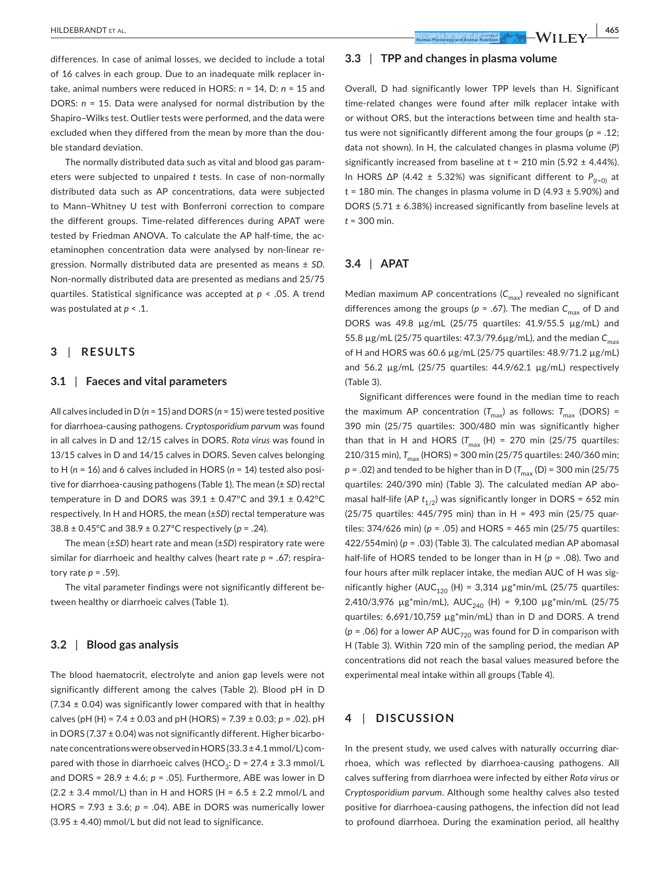differences. In case of animal losses, we decided to include a total of 16 calves in each group. Due to an inadequate milk replacer intake, animal numbers were reduced in HORS: *n* = 14, D: *n* = 15 and DORS: *n* = 15. Data were analysed for normal distribution by the Shapiro–Wilks test. Outlier tests were performed, and the data were excluded when they differed from the mean by more than the double standard deviation.

The normally distributed data such as vital and blood gas parameters were subjected to unpaired *t* tests. In case of non-normally distributed data such as AP concentrations, data were subjected to Mann–Whitney U test with Bonferroni correction to compare the different groups. Time-related differences during APAT were tested by Friedman ANOVA. To calculate the AP half-time, the acetaminophen concentration data were analysed by non-linear regression. Normally distributed data are presented as means ± *SD*. Non-normally distributed data are presented as medians and 25/75 quartiles. Statistical significance was accepted at *p* < .05. A trend was postulated at *p* < .1.

# **3** | **RESULTS**

#### **3.1** | **Faeces and vital parameters**

All calves included in D (*n* = 15) and DORS (*n* = 15) were tested positive for diarrhoea-causing pathogens. *Cryptosporidium parvum* was found in all calves in D and 12/15 calves in DORS. *Rota virus* was found in 13/15 calves in D and 14/15 calves in DORS. Seven calves belonging to H (*n* = 16) and 6 calves included in HORS (*n* = 14) tested also positive for diarrhoea-causing pathogens (Table 1). The mean (± *SD*) rectal temperature in D and DORS was  $39.1 \pm 0.47$ °C and  $39.1 \pm 0.42$ °C respectively. In H and HORS, the mean (±*SD*) rectal temperature was 38.8 ± 0.45°C and 38.9 ± 0.27°C respectively (*p* = .24).

The mean (±*SD*) heart rate and mean (±*SD*) respiratory rate were similar for diarrhoeic and healthy calves (heart rate *p* = .67; respiratory rate *p* = .59).

The vital parameter findings were not significantly different between healthy or diarrhoeic calves (Table 1).

# **3.2** | **Blood gas analysis**

The blood haematocrit, electrolyte and anion gap levels were not significantly different among the calves (Table 2). Blood pH in D  $(7.34 \pm 0.04)$  was significantly lower compared with that in healthy calves (pH (H) = 7.4 ± 0.03 and pH (HORS) = 7.39 ± 0.03; *p* = .02). pH in DORS (7.37 ± 0.04) was not significantly different. Higher bicarbonate concentrations were observed in HORS (33.3±4.1 mmol/L) compared with those in diarrhoeic calves (HCO<sub>3</sub>: D = 27.4 ± 3.3 mmol/L and DORS = 28.9 ± 4.6; *p* = .05). Furthermore, ABE was lower in D  $(2.2 \pm 3.4 \text{ mmol/L})$  than in H and HORS (H = 6.5  $\pm$  2.2 mmol/L and HORS = 7.93 ± 3.6; *p* = .04). ABE in DORS was numerically lower  $(3.95 \pm 4.40)$  mmol/L but did not lead to significance.

# **3.3** | **TPP and changes in plasma volume**

Overall, D had significantly lower TPP levels than H. Significant time-related changes were found after milk replacer intake with or without ORS, but the interactions between time and health status were not significantly different among the four groups (*p* = .12; data not shown). In H, the calculated changes in plasma volume (*P*) significantly increased from baseline at  $t = 210$  min (5.92  $\pm$  4.44%). In HORS ∆P (4.42 ± 5.32%) was significant different to *P*(*t*=0) at  $t = 180$  min. The changes in plasma volume in D (4.93  $\pm$  5.90%) and DORS (5.71 ± 6.38%) increased significantly from baseline levels at *t* = 300 min.

### **3.4** | **APAT**

Median maximum AP concentrations (C<sub>max</sub>) revealed no significant differences among the groups ( $p = .67$ ). The median  $C_{\text{max}}$  of D and DORS was 49.8 µg/mL (25/75 quartiles: 41.9/55.5 µg/mL) and 55.8 μg/mL (25/75 quartiles: 47.3/79.6μg/mL), and the median  $C_{\text{max}}$ of H and HORS was 60.6 µg/mL (25/75 quartiles: 48.9/71.2 µg/mL) and 56.2 µg/mL (25/75 quartiles: 44.9/62.1 µg/mL) respectively (Table 3).

Significant differences were found in the median time to reach the maximum AP concentration  $(T_{\text{max}})$  as follows:  $T_{\text{max}}$  (DORS) = 390 min (25/75 quartiles: 300/480 min was significantly higher than that in H and HORS ( $T_{max}$  (H) = 270 min (25/75 quartiles: 210/315 min),  $T_{\text{max}}$  (HORS) = 300 min (25/75 quartiles: 240/360 min;  $p = .02$ ) and tended to be higher than in D ( $T_{\text{max}}$  (D) = 300 min (25/75) quartiles: 240/390 min) (Table 3). The calculated median AP abomasal half-life (AP  $t_{1/2}$ ) was significantly longer in DORS = 652 min (25/75 quartiles: 445/795 min) than in H = 493 min (25/75 quartiles: 374/626 min) (*p* = .05) and HORS = 465 min (25/75 quartiles: 422/554min) (*p* = .03) (Table 3). The calculated median AP abomasal half-life of HORS tended to be longer than in H (*p* = .08). Two and four hours after milk replacer intake, the median AUC of H was significantly higher (AUC<sub>120</sub> (H) = 3,314  $\mu$ g\*min/mL (25/75 quartiles: 2,410/3,976  $\mu$ g\*min/mL), AUC<sub>240</sub> (H) = 9,100  $\mu$ g\*min/mL (25/75 quartiles: 6,691/10,759 µg\*min/mL) than in D and DORS. A trend ( $p = .06$ ) for a lower AP AUC<sub>720</sub> was found for D in comparison with H (Table 3). Within 720 min of the sampling period, the median AP concentrations did not reach the basal values measured before the experimental meal intake within all groups (Table 4).

# **4** | **DISCUSSION**

In the present study, we used calves with naturally occurring diarrhoea, which was reflected by diarrhoea-causing pathogens. All calves suffering from diarrhoea were infected by either *Rota virus* or *Cryptosporidium parvum*. Although some healthy calves also tested positive for diarrhoea-causing pathogens, the infection did not lead to profound diarrhoea. During the examination period, all healthy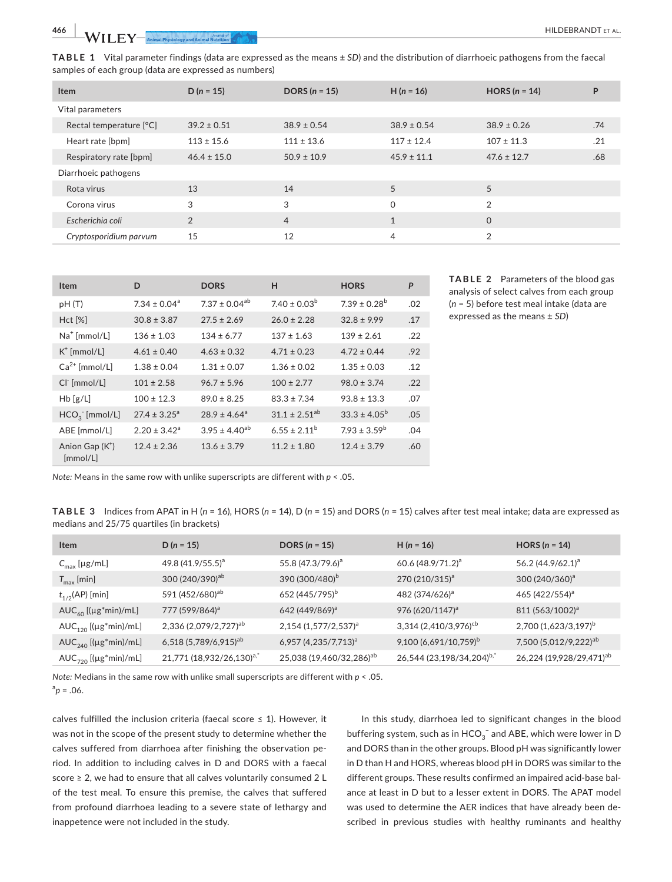**TABLE 1** Vital parameter findings (data are expressed as the means ± *SD*) and the distribution of diarrhoeic pathogens from the faecal samples of each group (data are expressed as numbers)

| <b>Item</b>             | $D (n = 15)$    | DORS $(n = 15)$ | $H(n = 16)$     | HORS $(n = 14)$ | P   |
|-------------------------|-----------------|-----------------|-----------------|-----------------|-----|
| Vital parameters        |                 |                 |                 |                 |     |
| Rectal temperature [°C] | $39.2 \pm 0.51$ | $38.9 \pm 0.54$ | $38.9 \pm 0.54$ | $38.9 \pm 0.26$ | .74 |
| Heart rate [bpm]        | $113 \pm 15.6$  | $111 \pm 13.6$  | $117 \pm 12.4$  | $107 \pm 11.3$  | .21 |
| Respiratory rate [bpm]  | $46.4 \pm 15.0$ | $50.9 \pm 10.9$ | $45.9 \pm 11.1$ | $47.6 \pm 12.7$ | .68 |
| Diarrhoeic pathogens    |                 |                 |                 |                 |     |
| Rota virus              | 13              | 14              | 5               | 5               |     |
| Corona virus            | 3               | 3               | $\Omega$        | $\overline{2}$  |     |
| Escherichia coli        | $\overline{2}$  | $\overline{4}$  | $\mathbf{1}$    | $\Omega$        |     |
| Cryptosporidium parvum  | 15              | 12              | 4               | 2               |     |

| <b>Item</b>                   | D                            | <b>DORS</b>                  | H                    | <b>HORS</b>             | P   |
|-------------------------------|------------------------------|------------------------------|----------------------|-------------------------|-----|
| pH(T)                         | $7.34 \pm 0.04$ <sup>a</sup> | $7.37 \pm 0.04^{ab}$         | $7.40 \pm 0.03^b$    | $7.39 \pm 0.28^{\rm b}$ | .02 |
| Hct [%]                       | $30.8 \pm 3.87$              | $27.5 \pm 2.69$              | $26.0 \pm 2.28$      | $32.8 \pm 9.99$         | .17 |
| $Na+ [mmol/L]$                | $136 \pm 1.03$               | $134 \pm 6.77$               | $137 \pm 1.63$       | $139 \pm 2.61$          | .22 |
| $K^{\dagger}$ [mmol/L]        | $4.61 \pm 0.40$              | $4.63 \pm 0.32$              | $4.71 \pm 0.23$      | $4.72 \pm 0.44$         | .92 |
| $Ca2+$ [mmol/L]               | $1.38 \pm 0.04$              | $1.31 \pm 0.07$              | $1.36 \pm 0.02$      | $1.35 \pm 0.03$         | .12 |
| CI [mmol/L]                   | $101 \pm 2.58$               | $96.7 \pm 5.96$              | $100 \pm 2.77$       | $98.0 \pm 3.74$         | .22 |
| Hb [g/L]                      | $100 \pm 12.3$               | $89.0 \pm 8.25$              | $83.3 \pm 7.34$      | $93.8 \pm 13.3$         | .07 |
| $HCO3$ [mmol/L]               | $27.4 \pm 3.25^{\circ}$      | $28.9 \pm 4.64$ <sup>a</sup> | $31.1 \pm 2.51^{ab}$ | $33.3 \pm 4.05^{\circ}$ | .05 |
| ABE [mmol/L]                  | $2.20 \pm 3.42$ <sup>a</sup> | $3.95 \pm 4.40^{ab}$         | $6.55 \pm 2.11^b$    | $7.93 \pm 3.59^b$       | .04 |
| Anion Gap $(K^+)$<br>[mmol/L] | $12.4 \pm 2.36$              | $13.6 \pm 3.79$              | $11.2 \pm 1.80$      | $12.4 \pm 3.79$         | .60 |

**TABLE 2** Parameters of the blood gas analysis of select calves from each group (*n* = 5) before test meal intake (data are expressed as the means ± *SD*)

*Note:* Means in the same row with unlike superscripts are different with *p* < .05.

**TABLE 3** Indices from APAT in H (*n* = 16), HORS (*n* = 14), D (*n* = 15) and DORS (*n* = 15) calves after test meal intake; data are expressed as medians and 25/75 quartiles (in brackets)

| <b>Item</b>                                  | $D(n = 15)$                           | DORS $(n = 15)$                      | $H(n = 16)$                           | HORS $(n = 14)$                      |
|----------------------------------------------|---------------------------------------|--------------------------------------|---------------------------------------|--------------------------------------|
| $C_{\text{max}}$ [µg/mL]                     | 49.8 (41.9/55.5) <sup>a</sup>         | 55.8 (47.3/79.6) <sup>a</sup>        | 60.6 $(48.9/71.2)^a$                  | 56.2 (44.9/62.1) <sup>a</sup>        |
| $T_{\text{max}}$ [min]                       | 300 (240/390) <sup>ab</sup>           | 390 (300/480) <sup>b</sup>           | 270 (210/315) <sup>a</sup>            | $300(240/360)^a$                     |
| $t_{1/2}$ (AP) [min]                         | 591 (452/680) <sup>ab</sup>           | 652 (445/795) <sup>b</sup>           | 482 (374/626) <sup>a</sup>            | 465 (422/554) <sup>a</sup>           |
| $AUC_{60}$ [( $\mu$ g*min)/mL]               | 777 (599/864) <sup>a</sup>            | 642 (449/869) <sup>a</sup>           | 976 (620/1147) <sup>a</sup>           | 811 (563/1002) <sup>a</sup>          |
| $AUC_{120}$ [( $\mu$ g*min)/mL]              | 2,336 (2,079/2,727) <sup>ab</sup>     | $2,154$ (1,577/2,537) <sup>a</sup>   | 3,314 (2,410/3,976) <sup>cb</sup>     | 2,700 (1,623/3,197) <sup>b</sup>     |
| $AUC_{240}$ [( $\mu$ g*min)/mL]              | 6,518 (5,789/6,915) <sup>ab</sup>     | 6,957 $(4,235/7,713)^a$              | 9,100 (6,691/10,759) <sup>b</sup>     | 7,500 (5,012/9,222) <sup>ab</sup>    |
| $AUC_{720}$ [( $\mu$ g <sup>*</sup> min)/mL] | 21,771 (18,932/26,130) <sup>a,*</sup> | 25,038 (19,460/32,286) <sup>ab</sup> | 26,544 (23,198/34,204) <sup>b,*</sup> | 26,224 (19,928/29,471) <sup>ab</sup> |

*Note:* Medians in the same row with unlike small superscripts are different with *p* < .05.  ${}^{a}p = .06$ .

calves fulfilled the inclusion criteria (faecal score  $\leq$  1). However, it was not in the scope of the present study to determine whether the calves suffered from diarrhoea after finishing the observation period. In addition to including calves in D and DORS with a faecal score ≥ 2, we had to ensure that all calves voluntarily consumed 2 L of the test meal. To ensure this premise, the calves that suffered from profound diarrhoea leading to a severe state of lethargy and inappetence were not included in the study.

In this study, diarrhoea led to significant changes in the blood buffering system, such as in  $\mathsf{HCO}_3^-$  and ABE, which were lower in D and DORS than in the other groups. Blood pH was significantly lower in D than H and HORS, whereas blood pH in DORS was similar to the different groups. These results confirmed an impaired acid-base balance at least in D but to a lesser extent in DORS. The APAT model was used to determine the AER indices that have already been described in previous studies with healthy ruminants and healthy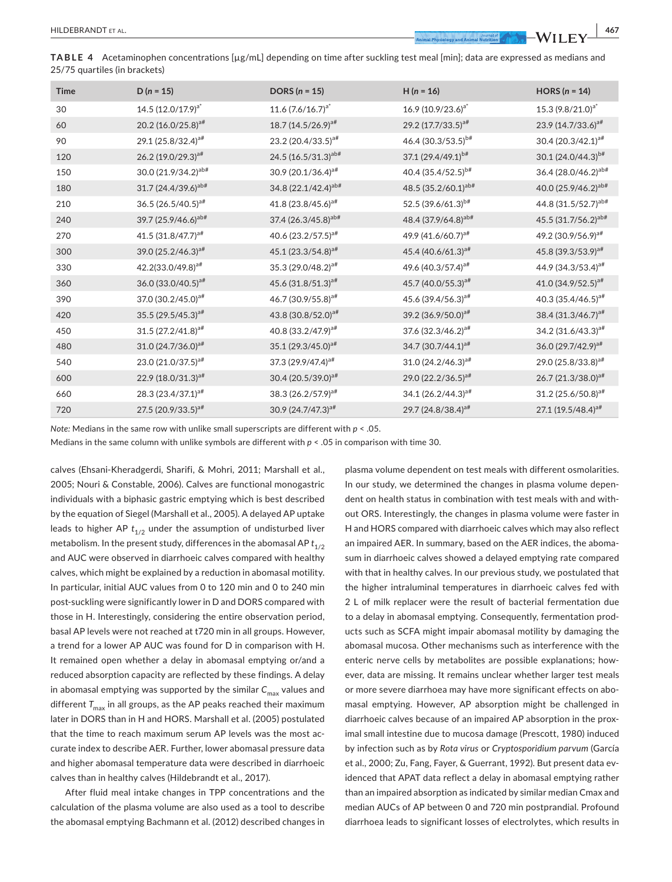**TABLE 4** Acetaminophen concentrations [µg/mL] depending on time after suckling test meal [min]; data are expressed as medians and 25/75 quartiles (in brackets)

| <b>Time</b> | $D(n = 15)$                     | DORS $(n = 15)$                 | $H(n = 16)$                     | HORS $(n = 14)$                 |
|-------------|---------------------------------|---------------------------------|---------------------------------|---------------------------------|
| 30          | 14.5 $(12.0/17.9)^{a^*}$        | $11.6 (7.6/16.7)^{a^*}$         | 16.9 (10.9/23.6) <sup>a*</sup>  | 15.3 (9.8/21.0) <sup>a*</sup>   |
| 60          | 20.2 (16.0/25.8) <sup>a#</sup>  | 18.7 (14.5/26.9) <sup>a#</sup>  | 29.2 (17.7/33.5) <sup>a#</sup>  | 23.9 (14.7/33.6) <sup>a#</sup>  |
| 90          | 29.1 (25.8/32.4) <sup>a#</sup>  | 23.2 (20.4/33.5) <sup>a#</sup>  | 46.4 (30.3/53.5) <sup>b#</sup>  | $30.4 (20.3/42.1)^{a#}$         |
| 120         | $26.2 (19.0/29.3)^{a#}$         | 24.5 (16.5/31.3) <sup>ab#</sup> | 37.1 (29.4/49.1) <sup>b#</sup>  | 30.1 (24.0/44.3) <sup>b#</sup>  |
| 150         | 30.0 (21.9/34.2) <sup>ab#</sup> | 30.9 (20.1/36.4) <sup>a#</sup>  | 40.4 (35.4/52.5) <sup>b#</sup>  | 36.4 (28.0/46.2) <sup>ab#</sup> |
| 180         | 31.7 (24.4/39.6) <sup>ab#</sup> | 34.8 (22.1/42.4) <sup>ab#</sup> | 48.5 (35.2/60.1) <sup>ab#</sup> | 40.0 (25.9/46.2) <sup>ab#</sup> |
| 210         | 36.5 (26.5/40.5) <sup>a#</sup>  | 41.8 (23.8/45.6) <sup>a#</sup>  | 52.5 (39.6/61.3) <sup>b#</sup>  | 44.8 (31.5/52.7) <sup>ab#</sup> |
| 240         | 39.7 (25.9/46.6) <sup>ab#</sup> | 37.4 (26.3/45.8) <sup>ab#</sup> | 48.4 (37.9/64.8) <sup>ab#</sup> | 45.5 (31.7/56.2) <sup>ab#</sup> |
| 270         | 41.5 (31.8/47.7) <sup>a#</sup>  | 40.6 (23.2/57.5) <sup>a#</sup>  | 49.9 (41.6/60.7) <sup>a#</sup>  | 49.2 (30.9/56.9) <sup>a#</sup>  |
| 300         | 39.0 (25.2/46.3) <sup>a#</sup>  | 45.1 (23.3/54.8) <sup>a#</sup>  | 45.4 (40.6/61.3) <sup>a#</sup>  | 45.8 (39.3/53.9) <sup>a#</sup>  |
| 330         | 42.2(33.0/49.8) <sup>a#</sup>   | 35.3 (29.0/48.2) <sup>a#</sup>  | 49.6 (40.3/57.4) <sup>a#</sup>  | 44.9 (34.3/53.4) <sup>a#</sup>  |
| 360         | $36.0 (33.0/40.5)^{a#}$         | 45.6 (31.8/51.3) <sup>a#</sup>  | 45.7 (40.0/55.3) <sup>a#</sup>  | 41.0 (34.9/52.5) <sup>a#</sup>  |
| 390         | 37.0 (30.2/45.0) <sup>a#</sup>  | 46.7 (30.9/55.8) <sup>a#</sup>  | 45.6 (39.4/56.3) <sup>a#</sup>  | 40.3 (35.4/46.5) <sup>a#</sup>  |
| 420         | 35.5 (29.5/45.3) <sup>a#</sup>  | 43.8 (30.8/52.0) <sup>a#</sup>  | 39.2 (36.9/50.0) <sup>a#</sup>  | 38.4 (31.3/46.7) <sup>a#</sup>  |
| 450         | $31.5(27.2/41.8)^{a#}$          | 40.8 (33.2/47.9) <sup>a#</sup>  | 37.6 (32.3/46.2) <sup>a#</sup>  | 34.2 $(31.6/43.3)^{a#}$         |
| 480         | 31.0 (24.7/36.0) <sup>a#</sup>  | 35.1 (29.3/45.0) <sup>a#</sup>  | 34.7 (30.7/44.1) <sup>a#</sup>  | 36.0 (29.7/42.9) <sup>a#</sup>  |
| 540         | 23.0 (21.0/37.5) <sup>a#</sup>  | 37.3 $(29.9/47.4)^{a#}$         | $31.0(24.2/46.3)^{a}$ #         | $29.0(25.8/33.8)^{a#}$          |
| 600         | 22.9 (18.0/31.3) <sup>a#</sup>  | 30.4 (20.5/39.0) <sup>a#</sup>  | 29.0 (22.2/36.5) <sup>a#</sup>  | 26.7 (21.3/38.0) <sup>a#</sup>  |
| 660         | 28.3 (23.4/37.1) <sup>a#</sup>  | 38.3 (26.2/57.9) <sup>a#</sup>  | 34.1 (26.2/44.3) <sup>a#</sup>  | $31.2 (25.6/50.8)^{a#}$         |
| 720         | 27.5 (20.9/33.5) <sup>a#</sup>  | 30.9 (24.7/47.3) <sup>a#</sup>  | 29.7 (24.8/38.4) <sup>a#</sup>  | 27.1 (19.5/48.4) <sup>a#</sup>  |

*Note:* Medians in the same row with unlike small superscripts are different with *p* < .05.

Medians in the same column with unlike symbols are different with  $p < .05$  in comparison with time 30.

calves (Ehsani-Kheradgerdi, Sharifi, & Mohri, 2011; Marshall et al., 2005; Nouri & Constable, 2006). Calves are functional monogastric individuals with a biphasic gastric emptying which is best described by the equation of Siegel (Marshall et al., 2005). A delayed AP uptake leads to higher AP  $t_{1/2}$  under the assumption of undisturbed liver metabolism. In the present study, differences in the abomasal AP  $t_{1/2}$ and AUC were observed in diarrhoeic calves compared with healthy calves, which might be explained by a reduction in abomasal motility. In particular, initial AUC values from 0 to 120 min and 0 to 240 min post-suckling were significantly lower in D and DORS compared with those in H. Interestingly, considering the entire observation period, basal AP levels were not reached at t720 min in all groups. However, a trend for a lower AP AUC was found for D in comparison with H. It remained open whether a delay in abomasal emptying or/and a reduced absorption capacity are reflected by these findings. A delay in abomasal emptying was supported by the similar C<sub>max</sub> values and different  $T_{\text{max}}$  in all groups, as the AP peaks reached their maximum later in DORS than in H and HORS. Marshall et al. (2005) postulated that the time to reach maximum serum AP levels was the most accurate index to describe AER. Further, lower abomasal pressure data and higher abomasal temperature data were described in diarrhoeic calves than in healthy calves (Hildebrandt et al., 2017).

After fluid meal intake changes in TPP concentrations and the calculation of the plasma volume are also used as a tool to describe the abomasal emptying Bachmann et al. (2012) described changes in plasma volume dependent on test meals with different osmolarities. In our study, we determined the changes in plasma volume dependent on health status in combination with test meals with and without ORS. Interestingly, the changes in plasma volume were faster in H and HORS compared with diarrhoeic calves which may also reflect an impaired AER. In summary, based on the AER indices, the abomasum in diarrhoeic calves showed a delayed emptying rate compared with that in healthy calves. In our previous study, we postulated that the higher intraluminal temperatures in diarrhoeic calves fed with 2 L of milk replacer were the result of bacterial fermentation due to a delay in abomasal emptying. Consequently, fermentation products such as SCFA might impair abomasal motility by damaging the abomasal mucosa. Other mechanisms such as interference with the enteric nerve cells by metabolites are possible explanations; however, data are missing. It remains unclear whether larger test meals or more severe diarrhoea may have more significant effects on abomasal emptying. However, AP absorption might be challenged in diarrhoeic calves because of an impaired AP absorption in the proximal small intestine due to mucosa damage (Prescott, 1980) induced by infection such as by *Rota virus* or *Cryptosporidium parvum* (García et al., 2000; Zu, Fang, Fayer, & Guerrant, 1992). But present data evidenced that APAT data reflect a delay in abomasal emptying rather than an impaired absorption as indicated by similar median Cmax and median AUCs of AP between 0 and 720 min postprandial. Profound diarrhoea leads to significant losses of electrolytes, which results in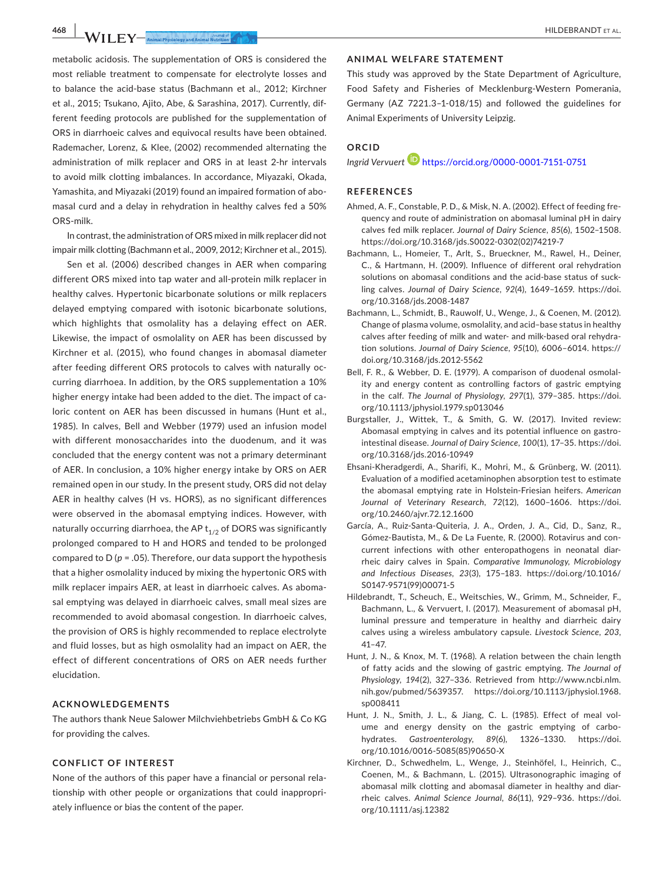metabolic acidosis. The supplementation of ORS is considered the most reliable treatment to compensate for electrolyte losses and to balance the acid-base status (Bachmann et al., 2012; Kirchner et al., 2015; Tsukano, Ajito, Abe, & Sarashina, 2017). Currently, different feeding protocols are published for the supplementation of ORS in diarrhoeic calves and equivocal results have been obtained. Rademacher, Lorenz, & Klee, (2002) recommended alternating the administration of milk replacer and ORS in at least 2-hr intervals to avoid milk clotting imbalances. In accordance, Miyazaki, Okada, Yamashita, and Miyazaki (2019) found an impaired formation of abomasal curd and a delay in rehydration in healthy calves fed a 50% ORS-milk.

In contrast, the administration of ORS mixed in milk replacer did not impair milk clotting (Bachmann et al., 2009, 2012; Kirchner et al., 2015).

Sen et al. (2006) described changes in AER when comparing different ORS mixed into tap water and all-protein milk replacer in healthy calves. Hypertonic bicarbonate solutions or milk replacers delayed emptying compared with isotonic bicarbonate solutions, which highlights that osmolality has a delaying effect on AER. Likewise, the impact of osmolality on AER has been discussed by Kirchner et al. (2015), who found changes in abomasal diameter after feeding different ORS protocols to calves with naturally occurring diarrhoea. In addition, by the ORS supplementation a 10% higher energy intake had been added to the diet. The impact of caloric content on AER has been discussed in humans (Hunt et al., 1985). In calves, Bell and Webber (1979) used an infusion model with different monosaccharides into the duodenum, and it was concluded that the energy content was not a primary determinant of AER. In conclusion, a 10% higher energy intake by ORS on AER remained open in our study. In the present study, ORS did not delay AER in healthy calves (H vs. HORS), as no significant differences were observed in the abomasal emptying indices. However, with naturally occurring diarrhoea, the AP  $t_{1/2}$  of DORS was significantly prolonged compared to H and HORS and tended to be prolonged compared to  $D (p = .05)$ . Therefore, our data support the hypothesis that a higher osmolality induced by mixing the hypertonic ORS with milk replacer impairs AER, at least in diarrhoeic calves. As abomasal emptying was delayed in diarrhoeic calves, small meal sizes are recommended to avoid abomasal congestion. In diarrhoeic calves, the provision of ORS is highly recommended to replace electrolyte and fluid losses, but as high osmolality had an impact on AER, the effect of different concentrations of ORS on AER needs further elucidation.

#### **ACKNOWLEDGEMENTS**

The authors thank Neue Salower Milchviehbetriebs GmbH & Co KG for providing the calves.

#### **CONFLICT OF INTEREST**

None of the authors of this paper have a financial or personal relationship with other people or organizations that could inappropriately influence or bias the content of the paper.

#### **ANIMAL WELFARE STATEMENT**

This study was approved by the State Department of Agriculture, Food Safety and Fisheries of Mecklenburg-Western Pomerania, Germany (AZ 7221.3–1-018/15) and followed the guidelines for Animal Experiments of University Leipzig.

# **ORCID**

*Ingrid Vervuert* <https://orcid.org/0000-0001-7151-0751>

#### **REFERENCES**

- Ahmed, A. F., Constable, P. D., & Misk, N. A. (2002). Effect of feeding frequency and route of administration on abomasal luminal pH in dairy calves fed milk replacer. *Journal of Dairy Science*, *85*(6), 1502–1508. [https://doi.org/10.3168/jds.S0022-0302\(02\)74219-7](https://doi.org/10.3168/jds.S0022-0302(02)74219-7)
- Bachmann, L., Homeier, T., Arlt, S., Brueckner, M., Rawel, H., Deiner, C., & Hartmann, H. (2009). Influence of different oral rehydration solutions on abomasal conditions and the acid-base status of suckling calves. *Journal of Dairy Science*, *92*(4), 1649–1659. [https://doi.](https://doi.org/10.3168/jds.2008-1487) [org/10.3168/jds.2008-1487](https://doi.org/10.3168/jds.2008-1487)
- Bachmann, L., Schmidt, B., Rauwolf, U., Wenge, J., & Coenen, M. (2012). Change of plasma volume, osmolality, and acid–base status in healthy calves after feeding of milk and water- and milk-based oral rehydration solutions. *Journal of Dairy Science*, *95*(10), 6006–6014. [https://](https://doi.org/10.3168/jds.2012-5562) [doi.org/10.3168/jds.2012-5562](https://doi.org/10.3168/jds.2012-5562)
- Bell, F. R., & Webber, D. E. (1979). A comparison of duodenal osmolality and energy content as controlling factors of gastric emptying in the calf. *The Journal of Physiology*, *297*(1), 379–385. [https://doi.](https://doi.org/10.1113/jphysiol.1979.sp013046) [org/10.1113/jphysiol.1979.sp013046](https://doi.org/10.1113/jphysiol.1979.sp013046)
- Burgstaller, J., Wittek, T., & Smith, G. W. (2017). Invited review: Abomasal emptying in calves and its potential influence on gastrointestinal disease. *Journal of Dairy Science*, *100*(1), 17–35. [https://doi.](https://doi.org/10.3168/jds.2016-10949) [org/10.3168/jds.2016-10949](https://doi.org/10.3168/jds.2016-10949)
- Ehsani-Kheradgerdi, A., Sharifi, K., Mohri, M., & Grünberg, W. (2011). Evaluation of a modified acetaminophen absorption test to estimate the abomasal emptying rate in Holstein-Friesian heifers. *American Journal of Veterinary Research*, *72*(12), 1600–1606. [https://doi.](https://doi.org/10.2460/ajvr.72.12.1600) [org/10.2460/ajvr.72.12.1600](https://doi.org/10.2460/ajvr.72.12.1600)
- García, A., Ruiz-Santa-Quiteria, J. A., Orden, J. A., Cid, D., Sanz, R., Gómez-Bautista, M., & De La Fuente, R. (2000). Rotavirus and concurrent infections with other enteropathogens in neonatal diarrheic dairy calves in Spain. *Comparative Immunology, Microbiology and Infectious Diseases*, *23*(3), 175–183. [https://doi.org/10.1016/](https://doi.org/10.1016/S0147-9571(99)00071-5) [S0147-9571\(99\)00071-5](https://doi.org/10.1016/S0147-9571(99)00071-5)
- Hildebrandt, T., Scheuch, E., Weitschies, W., Grimm, M., Schneider, F., Bachmann, L., & Vervuert, I. (2017). Measurement of abomasal pH, luminal pressure and temperature in healthy and diarrheic dairy calves using a wireless ambulatory capsule. *Livestock Science*, *203*, 41–47.
- Hunt, J. N., & Knox, M. T. (1968). A relation between the chain length of fatty acids and the slowing of gastric emptying. *The Journal of Physiology*, *194*(2), 327–336. Retrieved from [http://www.ncbi.nlm.](http://www.ncbi.nlm.nih.gov/pubmed/5639357) [nih.gov/pubmed/5639357](http://www.ncbi.nlm.nih.gov/pubmed/5639357). [https://doi.org/10.1113/jphysiol.1968.](https://doi.org/10.1113/jphysiol.1968.sp008411) [sp008411](https://doi.org/10.1113/jphysiol.1968.sp008411)
- Hunt, J. N., Smith, J. L., & Jiang, C. L. (1985). Effect of meal volume and energy density on the gastric emptying of carbohydrates. *Gastroenterology*, *89*(6), 1326–1330. [https://doi.](https://doi.org/10.1016/0016-5085(85)90650-X) [org/10.1016/0016-5085\(85\)90650-X](https://doi.org/10.1016/0016-5085(85)90650-X)
- Kirchner, D., Schwedhelm, L., Wenge, J., Steinhöfel, I., Heinrich, C., Coenen, M., & Bachmann, L. (2015). Ultrasonographic imaging of abomasal milk clotting and abomasal diameter in healthy and diarrheic calves. *Animal Science Journal*, *86*(11), 929–936. [https://doi.](https://doi.org/10.1111/asj.12382) [org/10.1111/asj.12382](https://doi.org/10.1111/asj.12382)